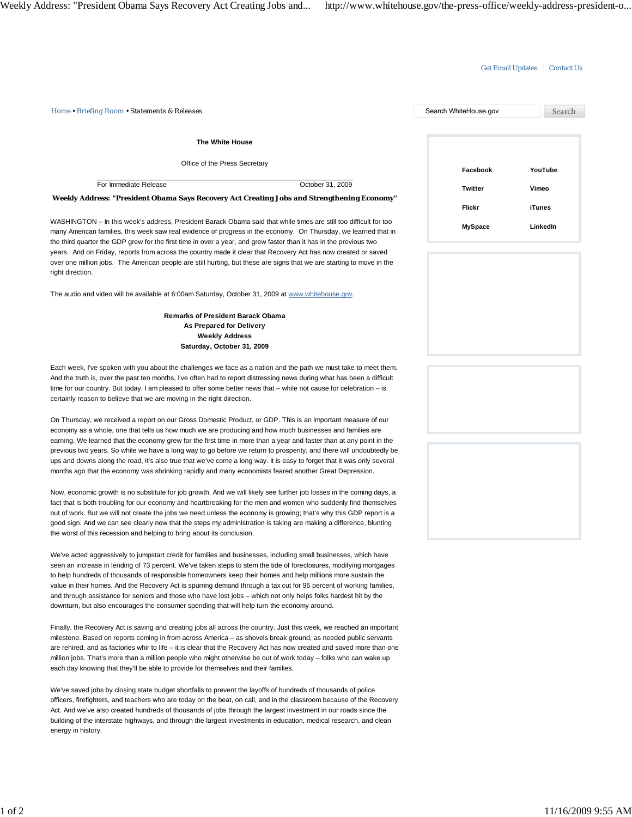## Get Email Updates | Contact Us

| <b>The White House</b><br>Office of the Press Secretary<br>YouTube<br>Facebook<br>For Immediate Release<br>October 31, 2009<br><b>Twitter</b><br>Vimeo<br>Weekly Address: "President Obama Says Recovery Act Creating Jobs and Strengthening Economy"<br>Flickr<br><b>iTunes</b><br>WASHINGTON - In this week's address, President Barack Obama said that while times are still too difficult for too<br>LinkedIn<br><b>MySpace</b><br>many American families, this week saw real evidence of progress in the economy. On Thursday, we learned that in<br>the third quarter the GDP grew for the first time in over a year, and grew faster than it has in the previous two<br>years. And on Friday, reports from across the country made it clear that Recovery Act has now created or saved<br>over one million jobs. The American people are still hurting, but these are signs that we are starting to move in the<br>right direction.<br>The audio and video will be available at 6:00am Saturday, October 31, 2009 at www.whitehouse.gov.<br><b>Remarks of President Barack Obama</b><br>As Prepared for Delivery<br><b>Weekly Address</b><br>Saturday, October 31, 2009<br>Each week, I've spoken with you about the challenges we face as a nation and the path we must take to meet them.<br>And the truth is, over the past ten months, I've often had to report distressing news during what has been a difficult<br>time for our country. But today, I am pleased to offer some better news that – while not cause for celebration – is<br>certainly reason to believe that we are moving in the right direction.<br>On Thursday, we received a report on our Gross Domestic Product, or GDP. This is an important measure of our<br>economy as a whole, one that tells us how much we are producing and how much businesses and families are<br>earning. We learned that the economy grew for the first time in more than a year and faster than at any point in the<br>previous two years. So while we have a long way to go before we return to prosperity, and there will undoubtedly be<br>ups and downs along the road, it's also true that we've come a long way. It is easy to forget that it was only several<br>months ago that the economy was shrinking rapidly and many economists feared another Great Depression.<br>Now, economic growth is no substitute for job growth. And we will likely see further job losses in the coming days, a<br>fact that is both troubling for our economy and heartbreaking for the men and women who suddenly find themselves<br>out of work. But we will not create the jobs we need unless the economy is growing; that's why this GDP report is a<br>good sign. And we can see clearly now that the steps my administration is taking are making a difference, blunting<br>the worst of this recession and helping to bring about its conclusion.<br>We've acted aggressively to jumpstart credit for families and businesses, including small businesses, which have<br>seen an increase in lending of 73 percent. We've taken steps to stem the tide of foreclosures, modifying mortgages<br>to help hundreds of thousands of responsible homeowners keep their homes and help millions more sustain the<br>value in their homes. And the Recovery Act is spurring demand through a tax cut for 95 percent of working families,<br>and through assistance for seniors and those who have lost jobs - which not only helps folks hardest hit by the<br>downturn, but also encourages the consumer spending that will help turn the economy around.<br>Finally, the Recovery Act is saving and creating jobs all across the country. Just this week, we reached an important<br>milestone. Based on reports coming in from across America – as shovels break ground, as needed public servants<br>are rehired, and as factories whir to life $-$ it is clear that the Recovery Act has now created and saved more than one<br>million jobs. That's more than a million people who might otherwise be out of work today - folks who can wake up<br>each day knowing that they'll be able to provide for themselves and their families.<br>We've saved jobs by closing state budget shortfalls to prevent the layoffs of hundreds of thousands of police<br>officers, firefighters, and teachers who are today on the beat, on call, and in the classroom because of the Recovery<br>Act. And we've also created hundreds of thousands of jobs through the largest investment in our roads since the<br>building of the interstate highways, and through the largest investments in education, medical research, and clean<br>energy in history. | Home • Briefing Room • Statements & Releases | Search WhiteHouse.gov | Search |
|---------------------------------------------------------------------------------------------------------------------------------------------------------------------------------------------------------------------------------------------------------------------------------------------------------------------------------------------------------------------------------------------------------------------------------------------------------------------------------------------------------------------------------------------------------------------------------------------------------------------------------------------------------------------------------------------------------------------------------------------------------------------------------------------------------------------------------------------------------------------------------------------------------------------------------------------------------------------------------------------------------------------------------------------------------------------------------------------------------------------------------------------------------------------------------------------------------------------------------------------------------------------------------------------------------------------------------------------------------------------------------------------------------------------------------------------------------------------------------------------------------------------------------------------------------------------------------------------------------------------------------------------------------------------------------------------------------------------------------------------------------------------------------------------------------------------------------------------------------------------------------------------------------------------------------------------------------------------------------------------------------------------------------------------------------------------------------------------------------------------------------------------------------------------------------------------------------------------------------------------------------------------------------------------------------------------------------------------------------------------------------------------------------------------------------------------------------------------------------------------------------------------------------------------------------------------------------------------------------------------------------------------------------------------------------------------------------------------------------------------------------------------------------------------------------------------------------------------------------------------------------------------------------------------------------------------------------------------------------------------------------------------------------------------------------------------------------------------------------------------------------------------------------------------------------------------------------------------------------------------------------------------------------------------------------------------------------------------------------------------------------------------------------------------------------------------------------------------------------------------------------------------------------------------------------------------------------------------------------------------------------------------------------------------------------------------------------------------------------------------------------------------------------------------------------------------------------------------------------------------------------------------------------------------------------------------------------------------------------------------------------------------------------------------------------------------------------------------------------------------------------------------------------------------------------------------------------------------------------------------------------------------------------------------------------------------------------------------------------------------------------------------------------------------------------------------------------------------------------------------------------------------------------------------------------------------------------------------------------------------------------------------------------------------------------------------------------------|----------------------------------------------|-----------------------|--------|
|                                                                                                                                                                                                                                                                                                                                                                                                                                                                                                                                                                                                                                                                                                                                                                                                                                                                                                                                                                                                                                                                                                                                                                                                                                                                                                                                                                                                                                                                                                                                                                                                                                                                                                                                                                                                                                                                                                                                                                                                                                                                                                                                                                                                                                                                                                                                                                                                                                                                                                                                                                                                                                                                                                                                                                                                                                                                                                                                                                                                                                                                                                                                                                                                                                                                                                                                                                                                                                                                                                                                                                                                                                                                                                                                                                                                                                                                                                                                                                                                                                                                                                                                                                                                                                                                                                                                                                                                                                                                                                                                                                                                                                                                                                               |                                              |                       |        |
|                                                                                                                                                                                                                                                                                                                                                                                                                                                                                                                                                                                                                                                                                                                                                                                                                                                                                                                                                                                                                                                                                                                                                                                                                                                                                                                                                                                                                                                                                                                                                                                                                                                                                                                                                                                                                                                                                                                                                                                                                                                                                                                                                                                                                                                                                                                                                                                                                                                                                                                                                                                                                                                                                                                                                                                                                                                                                                                                                                                                                                                                                                                                                                                                                                                                                                                                                                                                                                                                                                                                                                                                                                                                                                                                                                                                                                                                                                                                                                                                                                                                                                                                                                                                                                                                                                                                                                                                                                                                                                                                                                                                                                                                                                               |                                              |                       |        |
|                                                                                                                                                                                                                                                                                                                                                                                                                                                                                                                                                                                                                                                                                                                                                                                                                                                                                                                                                                                                                                                                                                                                                                                                                                                                                                                                                                                                                                                                                                                                                                                                                                                                                                                                                                                                                                                                                                                                                                                                                                                                                                                                                                                                                                                                                                                                                                                                                                                                                                                                                                                                                                                                                                                                                                                                                                                                                                                                                                                                                                                                                                                                                                                                                                                                                                                                                                                                                                                                                                                                                                                                                                                                                                                                                                                                                                                                                                                                                                                                                                                                                                                                                                                                                                                                                                                                                                                                                                                                                                                                                                                                                                                                                                               |                                              |                       |        |
|                                                                                                                                                                                                                                                                                                                                                                                                                                                                                                                                                                                                                                                                                                                                                                                                                                                                                                                                                                                                                                                                                                                                                                                                                                                                                                                                                                                                                                                                                                                                                                                                                                                                                                                                                                                                                                                                                                                                                                                                                                                                                                                                                                                                                                                                                                                                                                                                                                                                                                                                                                                                                                                                                                                                                                                                                                                                                                                                                                                                                                                                                                                                                                                                                                                                                                                                                                                                                                                                                                                                                                                                                                                                                                                                                                                                                                                                                                                                                                                                                                                                                                                                                                                                                                                                                                                                                                                                                                                                                                                                                                                                                                                                                                               |                                              |                       |        |
|                                                                                                                                                                                                                                                                                                                                                                                                                                                                                                                                                                                                                                                                                                                                                                                                                                                                                                                                                                                                                                                                                                                                                                                                                                                                                                                                                                                                                                                                                                                                                                                                                                                                                                                                                                                                                                                                                                                                                                                                                                                                                                                                                                                                                                                                                                                                                                                                                                                                                                                                                                                                                                                                                                                                                                                                                                                                                                                                                                                                                                                                                                                                                                                                                                                                                                                                                                                                                                                                                                                                                                                                                                                                                                                                                                                                                                                                                                                                                                                                                                                                                                                                                                                                                                                                                                                                                                                                                                                                                                                                                                                                                                                                                                               |                                              |                       |        |
|                                                                                                                                                                                                                                                                                                                                                                                                                                                                                                                                                                                                                                                                                                                                                                                                                                                                                                                                                                                                                                                                                                                                                                                                                                                                                                                                                                                                                                                                                                                                                                                                                                                                                                                                                                                                                                                                                                                                                                                                                                                                                                                                                                                                                                                                                                                                                                                                                                                                                                                                                                                                                                                                                                                                                                                                                                                                                                                                                                                                                                                                                                                                                                                                                                                                                                                                                                                                                                                                                                                                                                                                                                                                                                                                                                                                                                                                                                                                                                                                                                                                                                                                                                                                                                                                                                                                                                                                                                                                                                                                                                                                                                                                                                               |                                              |                       |        |
|                                                                                                                                                                                                                                                                                                                                                                                                                                                                                                                                                                                                                                                                                                                                                                                                                                                                                                                                                                                                                                                                                                                                                                                                                                                                                                                                                                                                                                                                                                                                                                                                                                                                                                                                                                                                                                                                                                                                                                                                                                                                                                                                                                                                                                                                                                                                                                                                                                                                                                                                                                                                                                                                                                                                                                                                                                                                                                                                                                                                                                                                                                                                                                                                                                                                                                                                                                                                                                                                                                                                                                                                                                                                                                                                                                                                                                                                                                                                                                                                                                                                                                                                                                                                                                                                                                                                                                                                                                                                                                                                                                                                                                                                                                               |                                              |                       |        |
|                                                                                                                                                                                                                                                                                                                                                                                                                                                                                                                                                                                                                                                                                                                                                                                                                                                                                                                                                                                                                                                                                                                                                                                                                                                                                                                                                                                                                                                                                                                                                                                                                                                                                                                                                                                                                                                                                                                                                                                                                                                                                                                                                                                                                                                                                                                                                                                                                                                                                                                                                                                                                                                                                                                                                                                                                                                                                                                                                                                                                                                                                                                                                                                                                                                                                                                                                                                                                                                                                                                                                                                                                                                                                                                                                                                                                                                                                                                                                                                                                                                                                                                                                                                                                                                                                                                                                                                                                                                                                                                                                                                                                                                                                                               |                                              |                       |        |
|                                                                                                                                                                                                                                                                                                                                                                                                                                                                                                                                                                                                                                                                                                                                                                                                                                                                                                                                                                                                                                                                                                                                                                                                                                                                                                                                                                                                                                                                                                                                                                                                                                                                                                                                                                                                                                                                                                                                                                                                                                                                                                                                                                                                                                                                                                                                                                                                                                                                                                                                                                                                                                                                                                                                                                                                                                                                                                                                                                                                                                                                                                                                                                                                                                                                                                                                                                                                                                                                                                                                                                                                                                                                                                                                                                                                                                                                                                                                                                                                                                                                                                                                                                                                                                                                                                                                                                                                                                                                                                                                                                                                                                                                                                               |                                              |                       |        |
|                                                                                                                                                                                                                                                                                                                                                                                                                                                                                                                                                                                                                                                                                                                                                                                                                                                                                                                                                                                                                                                                                                                                                                                                                                                                                                                                                                                                                                                                                                                                                                                                                                                                                                                                                                                                                                                                                                                                                                                                                                                                                                                                                                                                                                                                                                                                                                                                                                                                                                                                                                                                                                                                                                                                                                                                                                                                                                                                                                                                                                                                                                                                                                                                                                                                                                                                                                                                                                                                                                                                                                                                                                                                                                                                                                                                                                                                                                                                                                                                                                                                                                                                                                                                                                                                                                                                                                                                                                                                                                                                                                                                                                                                                                               |                                              |                       |        |
|                                                                                                                                                                                                                                                                                                                                                                                                                                                                                                                                                                                                                                                                                                                                                                                                                                                                                                                                                                                                                                                                                                                                                                                                                                                                                                                                                                                                                                                                                                                                                                                                                                                                                                                                                                                                                                                                                                                                                                                                                                                                                                                                                                                                                                                                                                                                                                                                                                                                                                                                                                                                                                                                                                                                                                                                                                                                                                                                                                                                                                                                                                                                                                                                                                                                                                                                                                                                                                                                                                                                                                                                                                                                                                                                                                                                                                                                                                                                                                                                                                                                                                                                                                                                                                                                                                                                                                                                                                                                                                                                                                                                                                                                                                               |                                              |                       |        |
|                                                                                                                                                                                                                                                                                                                                                                                                                                                                                                                                                                                                                                                                                                                                                                                                                                                                                                                                                                                                                                                                                                                                                                                                                                                                                                                                                                                                                                                                                                                                                                                                                                                                                                                                                                                                                                                                                                                                                                                                                                                                                                                                                                                                                                                                                                                                                                                                                                                                                                                                                                                                                                                                                                                                                                                                                                                                                                                                                                                                                                                                                                                                                                                                                                                                                                                                                                                                                                                                                                                                                                                                                                                                                                                                                                                                                                                                                                                                                                                                                                                                                                                                                                                                                                                                                                                                                                                                                                                                                                                                                                                                                                                                                                               |                                              |                       |        |
|                                                                                                                                                                                                                                                                                                                                                                                                                                                                                                                                                                                                                                                                                                                                                                                                                                                                                                                                                                                                                                                                                                                                                                                                                                                                                                                                                                                                                                                                                                                                                                                                                                                                                                                                                                                                                                                                                                                                                                                                                                                                                                                                                                                                                                                                                                                                                                                                                                                                                                                                                                                                                                                                                                                                                                                                                                                                                                                                                                                                                                                                                                                                                                                                                                                                                                                                                                                                                                                                                                                                                                                                                                                                                                                                                                                                                                                                                                                                                                                                                                                                                                                                                                                                                                                                                                                                                                                                                                                                                                                                                                                                                                                                                                               |                                              |                       |        |
|                                                                                                                                                                                                                                                                                                                                                                                                                                                                                                                                                                                                                                                                                                                                                                                                                                                                                                                                                                                                                                                                                                                                                                                                                                                                                                                                                                                                                                                                                                                                                                                                                                                                                                                                                                                                                                                                                                                                                                                                                                                                                                                                                                                                                                                                                                                                                                                                                                                                                                                                                                                                                                                                                                                                                                                                                                                                                                                                                                                                                                                                                                                                                                                                                                                                                                                                                                                                                                                                                                                                                                                                                                                                                                                                                                                                                                                                                                                                                                                                                                                                                                                                                                                                                                                                                                                                                                                                                                                                                                                                                                                                                                                                                                               |                                              |                       |        |